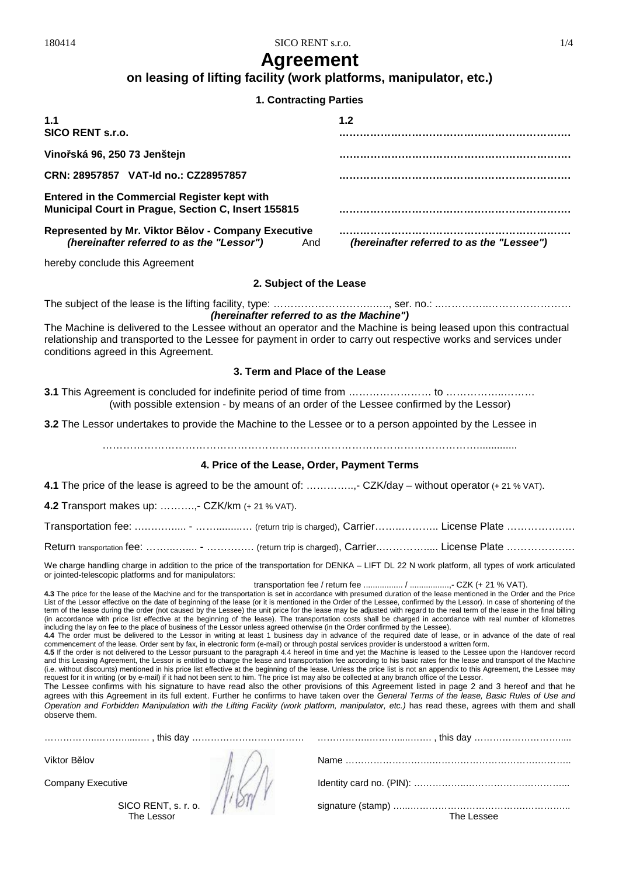180414 SICO RENT s.r.o. 1/4

## **Agreement**

## **on leasing of lifting facility (work platforms, manipulator, etc.)**

## **1. Contracting Parties**

| 1.1<br>SICO RENT s.r.o.                                                                                    | 1.2                                       |
|------------------------------------------------------------------------------------------------------------|-------------------------------------------|
| Vinořská 96, 250 73 Jenštejn                                                                               |                                           |
| CRN: 28957857 VAT-Id no.: CZ28957857                                                                       |                                           |
| <b>Entered in the Commercial Register kept with</b><br>Municipal Court in Prague, Section C, Insert 155815 |                                           |
| Represented by Mr. Viktor Bělov - Company Executive<br>(hereinafter referred to as the "Lessor")<br>And    | (hereinafter referred to as the "Lessee") |

hereby conclude this Agreement

## **2. Subject of the Lease**

The subject of the lease is the lifting facility, type: ………………………..….., ser. no.: ..…………..…………………… *(hereinafter referred to as the Machine")* 

The Machine is delivered to the Lessee without an operator and the Machine is being leased upon this contractual relationship and transported to the Lessee for payment in order to carry out respective works and services under conditions agreed in this Agreement.

## **3. Term and Place of the Lease**

**3.1** This Agreement is concluded for indefinite period of time from …………………… to ……………..……… (with possible extension - by means of an order of the Lessee confirmed by the Lessor)

**3.2** The Lessor undertakes to provide the Machine to the Lessee or to a person appointed by the Lessee in

………………………………………………………………………………………………..............

## **4. Price of the Lease, Order, Payment Terms**

**4.1** The price of the lease is agreed to be the amount of: …………..,- CZK/day – without operator (+ 21 % VAT).

**4.2** Transport makes up: ……….,- CZK/km (+ 21 % VAT).

Transportation fee: .................. - …….............. (return trip is charged), Carrier…….............. License Plate …………………

Return transportation fee: ……………... - ………….. (return trip is charged), Carrier...……………. License Plate …………………

We charge handling charge in addition to the price of the transportation for DENKA – LIFT DL 22 N work platform, all types of work articulated or jointed-telescopic platforms and for manipulators:

transportation fee / return fee ................. / .................,- CZK (+ 21 % VAT).

**4.3** The price for the lease of the Machine and for the transportation is set in accordance with presumed duration of the lease mentioned in the Order and the Price List of the Lessor effective on the date of beginning of the lease (or it is mentioned in the Order of the Lessee, confirmed by the Lessor). In case of shortening of the term of the lease during the order (not caused by the Lessee) the unit price for the lease may be adjusted with regard to the real term of the lease in the final billing (in accordance with price list effective at the beginning of the lease). The transportation costs shall be charged in accordance with real number of kilometres including the lay on fee to the place of business of the Lessor unless agreed otherwise (in the Order confirmed by the Lessee).

**4.4** The order must be delivered to the Lessor in writing at least 1 business day in advance of the required date of lease, or in advance of the date of real commencement of the lease. Order sent by fax, in electronic form (e-mail) or through postal services provider is understood a written form.

**4.5** If the order is not delivered to the Lessor pursuant to the paragraph 4.4 hereof in time and yet the Machine is leased to the Lessee upon the Handover record and this Leasing Agreement, the Lessor is entitled to charge the lease and transportation fee according to his basic rates for the lease and transport of the Machine (i.e. without discounts) mentioned in his price list effective at the beginning of the lease. Unless the price list is not an appendix to this Agreement, the Lessee may request for it in writing (or by e-mail) if it had not been sent to him. The price list may also be collected at any branch office of the Lessor.

The Lessee confirms with his signature to have read also the other provisions of this Agreement listed in page 2 and 3 hereof and that he agrees with this Agreement in its full extent. Further he confirms to have taken over the *General Terms of the lease, Basic Rules of Use and Operation and Forbidden Manipulation with the Lifting Facility (work platform, manipulator, etc.)* has read these, agrees with them and shall observe them.

| Viktor Bělov                      |            |
|-----------------------------------|------------|
| <b>Company Executive</b>          |            |
| SICO RENT, s. r. o.<br>The Lessor | The Lessee |
|                                   |            |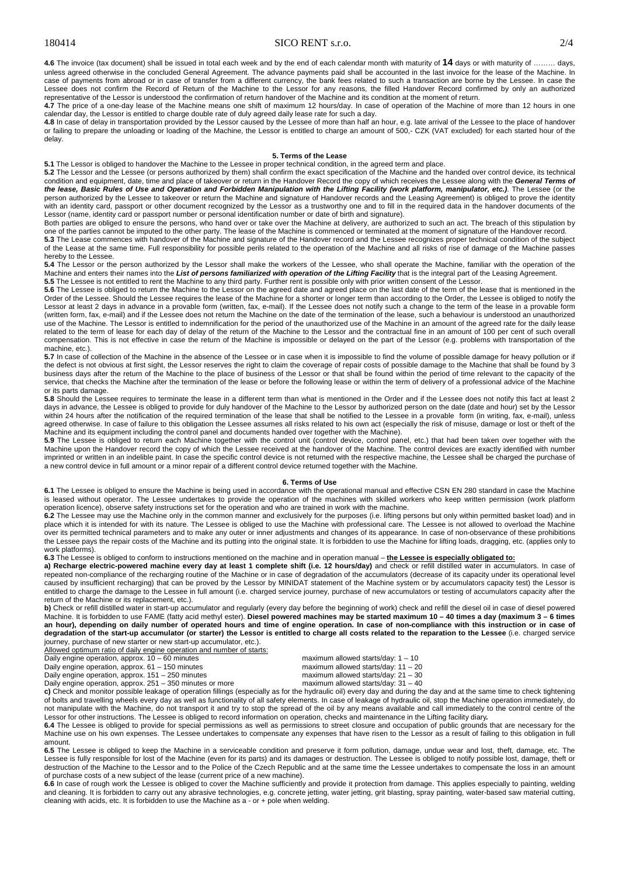### 180414 SICO RENT s.r.o. 2/4

**4.6** The invoice (tax document) shall be issued in total each week and by the end of each calendar month with maturity of **14** days or with maturity of ……… days, unless agreed otherwise in the concluded General Agreement. The advance payments paid shall be accounted in the last invoice for the lease of the Machine. In case of payments from abroad or in case of transfer from a different currency, the bank fees related to such a transaction are borne by the Lessee. In case the Lessee does not confirm the Record of Return of the Machine to the Lessor for any reasons, the filled Handover Record confirmed by only an authorized representative of the Lessor is understood the confirmation of return handover of the Machine and its condition at the moment of return.

**4.7** The price of a one-day lease of the Machine means one shift of maximum 12 hours/day. In case of operation of the Machine of more than 12 hours in one calendar day, the Lessor is entitled to charge double rate of duly agreed daily lease rate for such a day.

**4.8** In case of delay in transportation provided by the Lessor caused by the Lessee of more than half an hour, e.g. late arrival of the Lessee to the place of handover or failing to prepare the unloading or loading of the Machine, the Lessor is entitled to charge an amount of 500,- CZK (VAT excluded) for each started hour of the delay.

#### **5. Terms of the Lease**

**5.1** The Lessor is obliged to handover the Machine to the Lessee in proper technical condition, in the agreed term and place.

**5.2** The Lessor and the Lessee (or persons authorized by them) shall confirm the exact specification of the Machine and the handed over control device, its technical condition and equipment, date, time and place of takeover or return in the Handover Record the copy of which receives the Lessee along with the *General Terms of*  the lease, Basic Rules of Use and Operation and Forbidden Manipulation with the Lifting Facility (work platform, manipulator, etc.). The Lessee (or the person authorized by the Lessee to takeover or return the Machine and signature of Handover records and the Leasing Agreement) is obliged to prove the identity with an identity card, passport or other document recognized by the Lessor as a trustworthy one and to fill in the required data in the handover documents of the Lessor (name, identity card or passport number or personal identification number or date of birth and signature).

Both parties are obliged to ensure the persons, who hand over or take over the Machine at delivery, are authorized to such an act. The breach of this stipulation by one of the parties cannot be imputed to the other party. The lease of the Machine is commenced or terminated at the moment of signature of the Handover record.<br>5.3 The Lease commences with handover of the Machine and signa

of the Lease at the same time. Full responsibility for possible perils related to the operation of the Machine and all risks of rise of damage of the Machine passes hereby to the Lessee.

**5.4** The Lessor or the person authorized by the Lessor shall make the workers of the Lessee, who shall operate the Machine, familiar with the operation of the Machine and enters their names into the List of persons familiarized with operation of the Lifting Facility that is the integral part of the Leasing Agreement. **5.5** The Lessee is not entitled to rent the Machine to any third party. Further rent is possible only with prior written consent of the Lessor.

**5.6** The Lessee is obliged to return the Machine to the Lessor on the agreed date and agreed place on the last date of the term of the lease that is mentioned in the 15.6 The Lessee is obliged to return the Machine to the Order of the Lessee. Should the Lessee requires the lease of the Machine for a shorter or longer term than according to the Order, the Lessee is obliged to notify the Lessor at least 2 days in advance in a provable form (written, fax, e-mail). If the Lessee does not notify such a change to the term of the lease in a provable form (written form, fax, e-mail) and if the Lessee does not return the Machine on the date of the termination of the lease, such a behaviour is understood an unauthorized use of the Machine. The Lessor is entitled to indemnification for the period of the unauthorized use of the Machine in an amount of the agreed rate for the daily lease related to the term of lease for each day of delay of the return of the Machine to the Lessor and the contractual fine in an amount of 100 per cent of such overall compensation. This is not effective in case the return of the Machine is impossible or delayed on the part of the Lessor (e.g. problems with transportation of the machine, etc.).

5.7 In case of collection of the Machine in the absence of the Lessee or in case when it is impossible to find the volume of possible damage for heavy pollution or if the defect is not obvious at first sight, the Lessor reserves the right to claim the coverage of repair costs of possible damage to the Machine that shall be found by 3 business days after the return of the Machine to the place of business of the Lessor or that shall be found within the period of time relevant to the capacity of the service, that checks the Machine after the termination of the lease or before the following lease or within the term of delivery of a professional advice of the Machine or its parts damage.

**5.8** Should the Lessee requires to terminate the lease in a different term than what is mentioned in the Order and if the Lessee does not notify this fact at least 2 days in advance, the Lessee is obliged to provide for duly handover of the Machine to the Lessor by authorized person on the date (date and hour) set by the Lessor within 24 hours after the notification of the required termination of the lease that shall be notified to the Lessee in a provable form (in writing, fax, e-mail), unless agreed otherwise. In case of failure to this obligation the Lessee assumes all risks related to his own act (especially the risk of misuse, damage or lost or theft of the Machine and its equipment including the control panel and documents handed over together with the Machine).

5.9 The Lessee is obliged to return each Machine together with the control unit (control device, control panel, etc.) that had been taken over together with the Machine upon the Handover record the copy of which the Lessee received at the handover of the Machine. The control devices are exactly identified with number imprinted or written in an indelible paint. In case the specific control device is not returned with the respective machine, the Lessee shall be charged the purchase of a new control device in full amount or a minor repair of a different control device returned together with the Machine.

#### **6. Terms of Use**

**6.1** The Lessee is obliged to ensure the Machine is being used in accordance with the operational manual and effective CSN EN 280 standard in case the Machine is leased without operator. The Lessee undertakes to provide the operation of the machines with skilled workers who keep written permission (work platform operation licence), observe safety instructions set for the operation and who are trained in work with the machine.

**6.2** The Lessee may use the Machine only in the common manner and exclusively for the purposes (i.e. lifting persons but only within permitted basket load) and in place which it is intended for with its nature. The Lessee is obliged to use the Machine with professional care. The Lessee is not allowed to overload the Machine over its permitted technical parameters and to make any outer or inner adjustments and changes of its appearance. In case of non-observance of these prohibitions the Lessee pays the repair costs of the Machine and its putting into the original state. It is forbidden to use the Machine for lifting loads, dragging, etc. (applies only to work platforms).

**6.3** The Lessee is obliged to conform to instructions mentioned on the machine and in operation manual – **the Lessee is especially obligated to:**

a) Recharge electric-powered machine every day at least 1 complete shift (i.e. 12 hours/day) and check or refill distilled water in accumulators. In case of repeated non-compliance of the recharging routine of the Machine or in case of degradation of the accumulators (decrease of its capacity under its operational level caused by insufficient recharging) that can be proved by the Lessor by MINIDAT statement of the Machine system or by accumulators capacity test) the Lessor is entitled to charge the damage to the Lessee in full amount (i.e. charged service journey, purchase of new accumulators or testing of accumulators capacity after the return of the Machine or its replacement, etc.).

**b)** Check or refill distilled water in start-up accumulator and regularly (every day before the beginning of work) check and refill the diesel oil in case of diesel powered Machine. It is forbidden to use FAME (fatty acid methyl ester). Diesel powered machines may be started maximum 10 - 40 times a day (maximum 3 - 6 times an hour), depending on daily number of operated hours and time of engine operation. In case of non-compliance with this instruction or in case of degradation of the start-up accumulator (or starter) the Lessor is entitled to charge all costs related to the reparation to the Lessee (i.e. charged service journey, purchase of new starter or new start-up accumulator, etc.).

Allowed optimum ratio of daily engine operation and number of starts:

Daily engine operation, approx. 251 – 350 minutes or more

Daily engine operation, approx.  $10 - 60$  minutes maximum allowed starts/day:  $1 - 10$ <br>Daily engine operation, approx.  $61 - 150$  minutes maximum allowed starts/day:  $11 - 20$ Daily engine operation, approx. 61 – 150 minutes maximum allowed starts/day: 11 – 20<br>Daily engine operation, approx. 151 – 250 minutes maximum allowed starts/day: 21 – 30 Daily engine operation, approx. 151 – 250 minutes maximum allowed starts/day: 21 – 30<br>Daily engine operation, approx. 251 – 350 minutes or more maximum allowed starts/day: 31 – 40

**c)** Check and monitor possible leakage of operation fillings (especially as for the hydraulic oil) every day and during the day and at the same time to check tightening of bolts and travelling wheels every day as well as functionality of all safety elements. In case of leakage of hydraulic oil, stop the Machine operation immediately, do not manipulate with the Machine, do not transport it and try to stop the spread of the oil by any means available and call immediately to the control centre of the

Lessor for other instructions. The Lessee is obliged to record information on operation, checks and maintenance in the Lifting facility diary.<br>6.4 The Lessee is obliged to provide for special permissions as well as permiss Machine use on his own expenses. The Lessee undertakes to compensate any expenses that have risen to the Lessor as a result of failing to this obligation in full amount.

**6.5** The Lessee is obliged to keep the Machine in a serviceable condition and preserve it form pollution, damage, undue wear and lost, theft, damage, etc. The Lessee is fully responsible for lost of the Machine (even for its parts) and its damages or destruction. The Lessee is obliged to notify possible lost, damage, theft or destruction of the Machine to the Lessor and to the Police of the Czech Republic and at the same time the Lessee undertakes to compensate the loss in an amount of purchase costs of a new subject of the lease (current price of a new machine).

**6.6** In case of rough work the Lessee is obliged to cover the Machine sufficiently and provide it protection from damage. This applies especially to painting, welding and cleaning. It is forbidden to carry out any abrasive technologies, e.g. concrete jetting, water jetting, grit blasting, spray painting, water-based saw material cutting, cleaning with acids, etc. It is forbidden to use the Machine as a - or + pole when welding.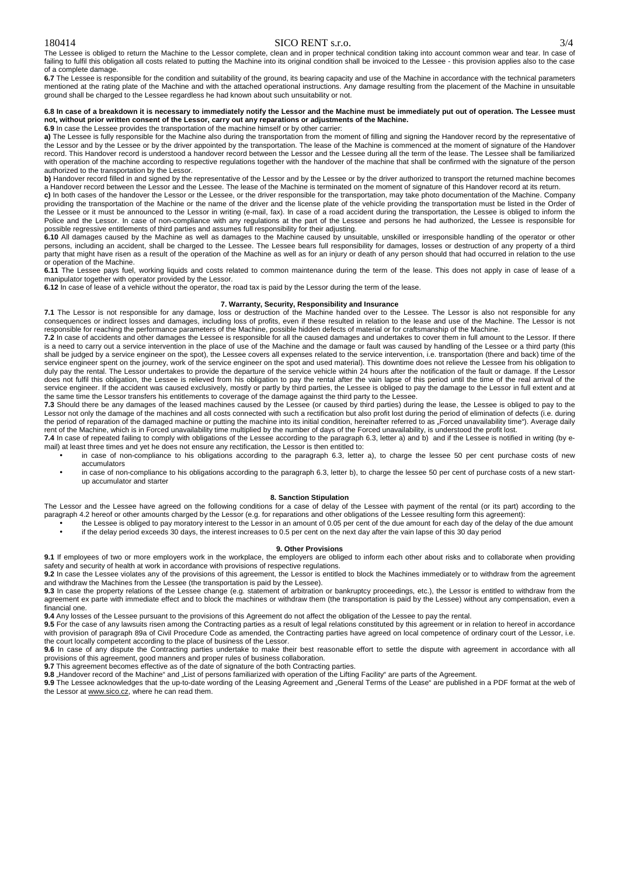## 180414 SICO RENT s.r.o. 3/4

The Lessee is obliged to return the Machine to the Lessor complete, clean and in proper technical condition taking into account common wear and tear. In case of failing to fulfil this obligation all costs related to putting the Machine into its original condition shall be invoiced to the Lessee - this provision applies also to the case of a complete damage.

**6.7** The Lessee is responsible for the condition and suitability of the ground, its bearing capacity and use of the Machine in accordance with the technical parameters mentioned at the rating plate of the Machine and with the attached operational instructions. Any damage resulting from the placement of the Machine in unsuitable ground shall be charged to the Lessee regardless he had known about such unsuitability or not.

#### 6.8 In case of a breakdown it is necessary to immediately notify the Lessor and the Machine must be immediately put out of operation. The Lessee must **not, without prior written consent of the Lessor, carry out any reparations or adjustments of the Machine.**

**6.9** In case the Lessee provides the transportation of the machine himself or by other carrier:

a) The Lessee is fully responsible for the Machine also during the transportation from the moment of filling and signing the Handover record by the representative of the Lessor and by the Lessee or by the driver appointed by the transportation. The lease of the Machine is commenced at the moment of signature of the Handover record. This Handover record is understood a handover record between the Lessor and the Lessee during all the term of the lease. The Lessee shall be familiarized with operation of the machine according to respective regulations together with the handover of the machine that shall be confirmed with the signature of the person authorized to the transportation by the Lessor.

**b**) Handover record filled in and signed by the representative of the Lessor and by the Lessee or by the driver authorized to transport the returned machine becomes a Handover record between the Lessor and the Lessee. The lease of the Machine is terminated on the moment of signature of this Handover record at its return.

**c)** In both cases of the handover the Lessor or the Lessee, or the driver responsible for the transportation, may take photo documentation of the Machine. Company providing the transportation of the Machine or the name of the driver and the license plate of the vehicle providing the transportation must be listed in the Order of the Lessee or it must be announced to the Lessor in writing (e-mail, fax). In case of a road accident during the transportation, the Lessee is obliged to inform the Police and the Lessor. In case of non-compliance with any regulations at the part of the Lessee and persons he had authorized, the Lessee is responsible for

possible regressive entitlements of third parties and assumes full responsibility for their adjusting.<br>6.10 All damages caused by the Machine as well as damages to the Machine caused by unsuitable, unskilled or irresponsib persons, including an accident, shall be charged to the Lessee. The Lessee bears full responsibility for damages, losses or destruction of any property of a third party that might have risen as a result of the operation of the Machine as well as for an injury or death of any person should that had occurred in relation to the use or operation of the Machine.

6.11 The Lessee pays fuel, working liquids and costs related to common maintenance during the term of the lease. This does not apply in case of lease of a manipulator together with operator provided by the Lessor.

**6.12** In case of lease of a vehicle without the operator, the road tax is paid by the Lessor during the term of the lease.

#### **7. Warranty, Security, Responsibility and Insurance**

**7.1** The Lessor is not responsible for any damage, loss or destruction of the Machine handed over to the Lessee. The Lessor is also not responsible for any consequences or indirect losses and damages, including loss of profits, even if these resulted in relation to the lease and use of the Machine. The Lessor is not responsible for reaching the performance parameters of the Machine, possible hidden defects of material or for craftsmanship of the Machine.

**7.2** In case of accidents and other damages the Lessee is responsible for all the caused damages and undertakes to cover them in full amount to the Lessor. If there is a need to carry out a service intervention in the place of use of the Machine and the damage or fault was caused by handling of the Lessee or a third party (this shall be judged by a service engineer on the spot), the Lessee covers all expenses related to the service intervention, i.e. transportation (there and back) time of the service engineer spent on the journey, work of the service engineer on the spot and used material). This downtime does not relieve the Lessee from his obligation to duly pay the rental. The Lessor undertakes to provide the departure of the service vehicle within 24 hours after the notification of the fault or damage. If the Lessor does not fulfil this obligation, the Lessee is relieved from his obligation to pay the rental after the vain lapse of this period until the time of the real arrival of the service engineer. If the accident was caused exclusively, mostly or partly by third parties, the Lessee is obliged to pay the damage to the Lessor in full extent and at the same time the Lessor transfers his entitlements to coverage of the damage against the third party to the Lessee.

**7.3** Should there be any damages of the leased machines caused by the Lessee (or caused by third parties) during the lease, the Lessee is obliged to pay to the Lessor not only the damage of the machines and all costs connected with such a rectification but also profit lost during the period of elimination of defects (i.e. during the period of reparation of the damaged machine or putting the machine into its initial condition, hereinafter referred to as "Forced unavailability time"). Average daily rent of the Machine, which is in Forced unavailability time multiplied by the number of days of the Forced unavailability, is understood the profit lost.

**7.4** In case of repeated failing to comply with obligations of the Lessee according to the paragraph 6.3, letter a) and b) and if the Lessee is notified in writing (by email) at least three times and yet he does not ensure any rectification, the Lessor is then entitled to: • in case of non-compliance to his obligations according to the paragraph 6.3, letter a), to charge the lessee 50 per cent purchase costs of new

- accumulators
- in case of non-compliance to his obligations according to the paragraph 6.3, letter b), to charge the lessee 50 per cent of purchase costs of a new startup accumulator and starter

#### **8. Sanction Stipulation**

The Lessor and the Lessee have agreed on the following conditions for a case of delay of the Lessee with payment of the rental (or its part) according to the paragraph 4.2 hereof or other amounts charged by the Lessor (e.g. for reparations and other obligations of the Lessee resulting form this agreement):

• the Lessee is obliged to pay moratory interest to the Lessor in an amount of 0.05 per cent of the due amount for each day of the delay of the due amount • if the delay period exceeds 30 days, the interest increases to 0.5 per cent on the next day after the vain lapse of this 30 day period

#### **9. Other Provisions**

**9.1** If employees of two or more employers work in the workplace, the employers are obliged to inform each other about risks and to collaborate when providing safety and security of health at work in accordance with provisions of respective regulations.

**9.2** In case the Lessee violates any of the provisions of this agreement, the Lessor is entitled to block the Machines immediately or to withdraw from the agreement and withdraw the Machines from the Lessee (the transportation is paid by the Lessee).

**9.3** In case the property relations of the Lessee change (e.g. statement of arbitration or bankruptcy proceedings, etc.), the Lessor is entitled to withdraw from the agreement ex parte with immediate effect and to block the machines or withdraw them (the transportation is paid by the Lessee) without any compensation, even a financial one.

**9.4** Any losses of the Lessee pursuant to the provisions of this Agreement do not affect the obligation of the Lessee to pay the rental.

**9.5** For the case of any lawsuits risen among the Contracting parties as a result of legal relations constituted by this agreement or in relation to hereof in accordance with provision of paragraph 89a of Civil Procedure Code as amended, the Contracting parties have agreed on local competence of ordinary court of the Lessor, i.e. the court locally competent according to the place of business of the Lessor.

**9.6** In case of any dispute the Contracting parties undertake to make their best reasonable effort to settle the dispute with agreement in accordance with all

provisions of this agreement, good manners and proper rules of business collaboration.<br>**9.7** This agreement becomes effective as of the date of signature of the both Contracting parties.

9.8 "Handover record of the Machine" and "List of persons familiarized with operation of the Lifting Facility" are parts of the Agreement.

**9.9** The Lessee acknowledges that the up-to-date wording of the Leasing Agreement and "General Terms of the Lease" are published in a PDF format at the web of the Lessor at [www.sico.cz](http://www.sico.cz), where he can read them.